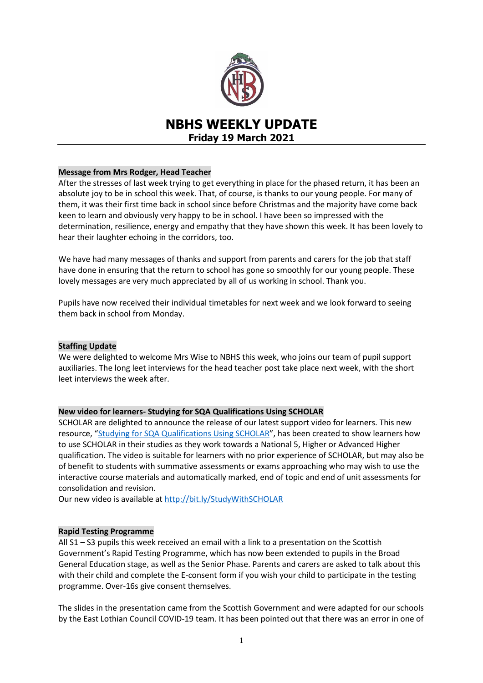

# **NBHS WEEKLY UPDATE Friday 19 March 2021**

### **Message from Mrs Rodger, Head Teacher**

After the stresses of last week trying to get everything in place for the phased return, it has been an absolute joy to be in school this week. That, of course, is thanks to our young people. For many of them, it was their first time back in school since before Christmas and the majority have come back keen to learn and obviously very happy to be in school. I have been so impressed with the determination, resilience, energy and empathy that they have shown this week. It has been lovely to hear their laughter echoing in the corridors, too.

We have had many messages of thanks and support from parents and carers for the job that staff have done in ensuring that the return to school has gone so smoothly for our young people. These lovely messages are very much appreciated by all of us working in school. Thank you.

Pupils have now received their individual timetables for next week and we look forward to seeing them back in school from Monday.

### **Staffing Update**

We were delighted to welcome Mrs Wise to NBHS this week, who joins our team of pupil support auxiliaries. The long leet interviews for the head teacher post take place next week, with the short leet interviews the week after.

### **New video for learners- Studying for SQA Qualifications Using SCHOLAR**

SCHOLAR are delighted to announce the release of our latest support video for learners. This new resource, "Studying [for SQA Qualifications Using SCHOLAR](http://bit.ly/StudyWithSCHOLAR)", has been created to show learners how to use SCHOLAR in their studies as they work towards a National 5, Higher or Advanced Higher qualification. The video is suitable for learners with no prior experience of SCHOLAR, but may also be of benefit to students with summative assessments or exams approaching who may wish to use the interactive course materials and automatically marked, end of topic and end of unit assessments for consolidation and revision.

Our new video is available at<http://bit.ly/StudyWithSCHOLAR>

### **Rapid Testing Programme**

All S1 – S3 pupils this week received an email with a link to a presentation on the Scottish Government's Rapid Testing Programme, which has now been extended to pupils in the Broad General Education stage, as well as the Senior Phase. Parents and carers are asked to talk about this with their child and complete the E-consent form if you wish your child to participate in the testing programme. Over-16s give consent themselves.

The slides in the presentation came from the Scottish Government and were adapted for our schools by the East Lothian Council COVID-19 team. It has been pointed out that there was an error in one of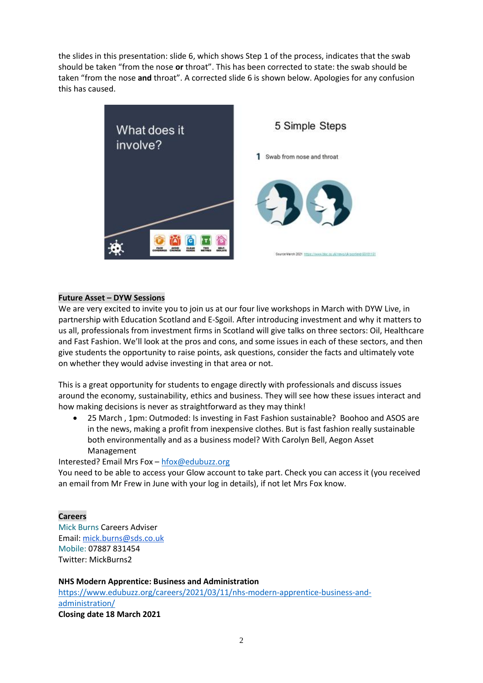the slides in this presentation: slide 6, which shows Step 1 of the process, indicates that the swab should be taken "from the nose **or** throat". This has been corrected to state: the swab should be taken "from the nose **and** throat". A corrected slide 6 is shown below. Apologies for any confusion this has caused.



### **Future Asset – DYW Sessions**

We are very excited to invite you to join us at our four live workshops in March with DYW Live, in partnership with Education Scotland and E-Sgoil. After introducing investment and why it matters to us all, professionals from investment firms in Scotland will give talks on three sectors: Oil, Healthcare and Fast Fashion. We'll look at the pros and cons, and some issues in each of these sectors, and then give students the opportunity to raise points, ask questions, consider the facts and ultimately vote on whether they would advise investing in that area or not.

This is a great opportunity for students to engage directly with professionals and discuss issues around the economy, sustainability, ethics and business. They will see how these issues interact and how making decisions is never as straightforward as they may think!

 25 March , 1pm: Outmoded: Is investing in Fast Fashion sustainable? Boohoo and ASOS are in the news, making a profit from inexpensive clothes. But is fast fashion really sustainable both environmentally and as a business model? With Carolyn Bell, Aegon Asset Management

Interested? Email Mrs Fox – [hfox@edubuzz.org](mailto:hfox@edubuzz.org)

You need to be able to access your Glow account to take part. Check you can access it (you received an email from Mr Frew in June with your log in details), if not let Mrs Fox know.

#### **Careers**

Mick Burns Careers Adviser Email: [mick.burns@sds.co.uk](https://mail.elcschool.org.uk/owa/redir.aspx?C=fbGa3DGVrsUoQB2CnJP23eXwMGzxu7J1CtarT6dTOwkq_NlpJujXCA..&URL=mailto%3amick.burns%40sds.co.uk) Mobile: 07887 831454 Twitter: MickBurns2

**NHS Modern Apprentice: Business and Administration** [https://www.edubuzz.org/careers/2021/03/11/nhs-modern-apprentice-business-and](https://www.edubuzz.org/careers/2021/03/11/nhs-modern-apprentice-business-and-administration/)[administration/](https://www.edubuzz.org/careers/2021/03/11/nhs-modern-apprentice-business-and-administration/) **Closing date 18 March 2021**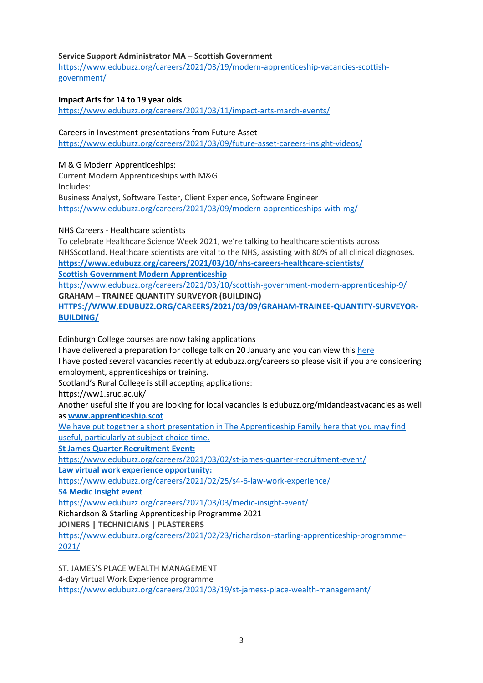## **Service Support Administrator MA – Scottish Government**

[https://www.edubuzz.org/careers/2021/03/19/modern-apprenticeship-vacancies-scottish](https://www.edubuzz.org/careers/2021/03/19/modern-apprenticeship-vacancies-scottish-government/)[government/](https://www.edubuzz.org/careers/2021/03/19/modern-apprenticeship-vacancies-scottish-government/)

## **Impact Arts for 14 to 19 year olds**

<https://www.edubuzz.org/careers/2021/03/11/impact-arts-march-events/>

### Careers in Investment presentations from Future Asset

<https://www.edubuzz.org/careers/2021/03/09/future-asset-careers-insight-videos/>

### M & G Modern Apprenticeships:

Current Modern Apprenticeships with M&G Includes:

Business Analyst, Software Tester, Client Experience, Software Engineer <https://www.edubuzz.org/careers/2021/03/09/modern-apprenticeships-with-mg/>

NHS Careers - Healthcare scientists

To celebrate Healthcare Science Week 2021, we're talking to healthcare scientists across NHSScotland. Healthcare scientists are vital to the NHS, assisting with 80% of all clinical diagnoses. **<https://www.edubuzz.org/careers/2021/03/10/nhs-careers-healthcare-scientists/>**

**Scottish Government Modern Apprenticeship**

<https://www.edubuzz.org/careers/2021/03/10/scottish-government-modern-apprenticeship-9/> **GRAHAM – TRAINEE QUANTITY SURVEYOR [\(BUILDING\)](https://www.edubuzz.org/careers/2021/03/09/graham-trainee-quantity-surveyor-building/)**

**[HTTPS://WWW.EDUBUZZ.ORG/CAREERS/2021/03/09/GRAHAM-TRAINEE-QUANTITY-SURVEYOR-](https://www.edubuzz.org/careers/2021/03/09/graham-trainee-quantity-surveyor-building/)[BUILDING/](https://www.edubuzz.org/careers/2021/03/09/graham-trainee-quantity-surveyor-building/)**

Edinburgh College courses are now taking applications

I have delivered a preparation for college talk on 20 January and you can view thi[s here](https://www.edubuzz.org/careers/2017/12/06/applying-for-college-2018/)

I have posted several vacancies recently at edubuzz.org/careers so please visit if you are considering employment, apprenticeships or training.

Scotland's Rural College is still accepting applications:

https://ww1.sruc.ac.uk/

Another useful site if you are looking for local vacancies is edubuzz.org/midandeastvacancies as well as **[www.apprenticeship.scot](http://www.apprenticeship.scot/)**

We have put together a short presentation in The Apprenticeship Family [here](https://www.edubuzz.org/careers/2021/01/21/apprenticeship-family/) that you may find useful, particularly at subject choice time.

**St James Quarter Recruitment Event:**

<https://www.edubuzz.org/careers/2021/03/02/st-james-quarter-recruitment-event/>

**Law virtual work experience opportunity:**

<https://www.edubuzz.org/careers/2021/02/25/s4-6-law-work-experience/>

**S4 Medic Insight event**

<https://www.edubuzz.org/careers/2021/03/03/medic-insight-event/>

Richardson & Starling Apprenticeship Programme 2021

**JOINERS | TECHNICIANS | PLASTERERS**

[https://www.edubuzz.org/careers/2021/02/23/richardson-starling-apprenticeship-programme-](https://www.edubuzz.org/careers/2021/02/23/richardson-starling-apprenticeship-programme-2021/)[2021/](https://www.edubuzz.org/careers/2021/02/23/richardson-starling-apprenticeship-programme-2021/)

ST. JAMES'S PLACE WEALTH MANAGEMENT 4-day Virtual Work Experience programme <https://www.edubuzz.org/careers/2021/03/19/st-jamess-place-wealth-management/>